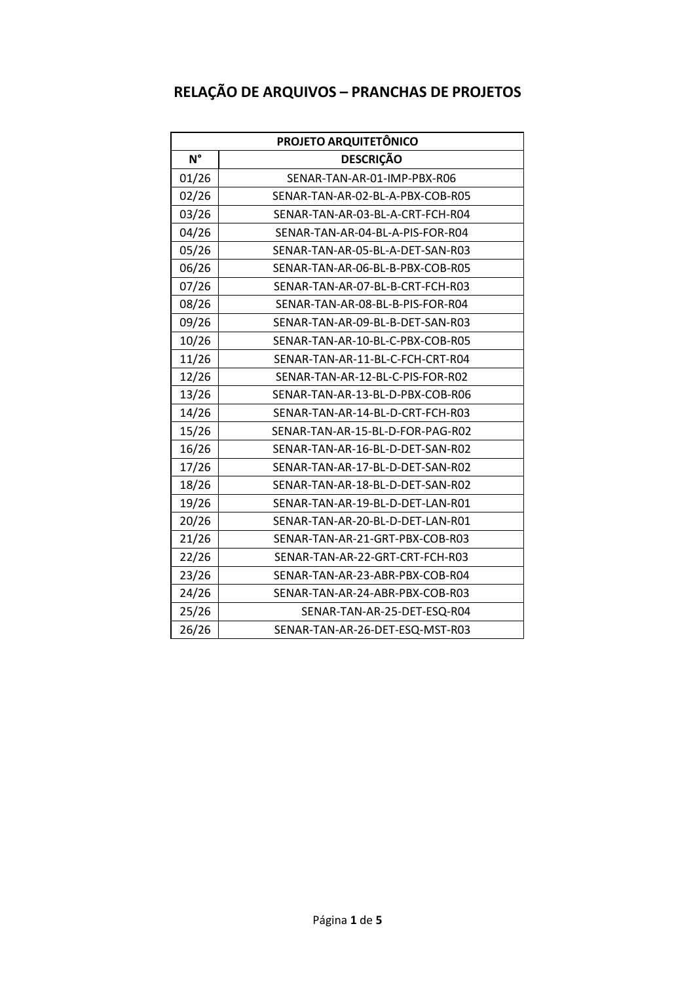## **RELAÇÃO DE ARQUIVOS – PRANCHAS DE PROJETOS**

| PROJETO ARQUITETÔNICO |                                  |
|-----------------------|----------------------------------|
| $N^{\circ}$           | <b>DESCRIÇÃO</b>                 |
| 01/26                 | SENAR-TAN-AR-01-IMP-PBX-R06      |
| 02/26                 | SENAR-TAN-AR-02-BL-A-PBX-COB-R05 |
| 03/26                 | SENAR-TAN-AR-03-BL-A-CRT-FCH-R04 |
| 04/26                 | SENAR-TAN-AR-04-BL-A-PIS-FOR-R04 |
| 05/26                 | SENAR-TAN-AR-05-BL-A-DET-SAN-R03 |
| 06/26                 | SENAR-TAN-AR-06-BL-B-PBX-COB-R05 |
| 07/26                 | SENAR-TAN-AR-07-BL-B-CRT-FCH-R03 |
| 08/26                 | SENAR-TAN-AR-08-BL-B-PIS-FOR-R04 |
| 09/26                 | SENAR-TAN-AR-09-BL-B-DET-SAN-R03 |
| 10/26                 | SENAR-TAN-AR-10-BL-C-PBX-COB-R05 |
| 11/26                 | SENAR-TAN-AR-11-BL-C-FCH-CRT-R04 |
| 12/26                 | SENAR-TAN-AR-12-BL-C-PIS-FOR-R02 |
| 13/26                 | SENAR-TAN-AR-13-BL-D-PBX-COB-R06 |
| 14/26                 | SENAR-TAN-AR-14-BL-D-CRT-FCH-R03 |
| 15/26                 | SENAR-TAN-AR-15-BL-D-FOR-PAG-R02 |
| 16/26                 | SENAR-TAN-AR-16-BL-D-DET-SAN-R02 |
| 17/26                 | SENAR-TAN-AR-17-BL-D-DET-SAN-R02 |
| 18/26                 | SENAR-TAN-AR-18-BL-D-DET-SAN-R02 |
| 19/26                 | SENAR-TAN-AR-19-BL-D-DET-LAN-R01 |
| 20/26                 | SENAR-TAN-AR-20-BL-D-DET-LAN-R01 |
| 21/26                 | SENAR-TAN-AR-21-GRT-PBX-COB-R03  |
| 22/26                 | SENAR-TAN-AR-22-GRT-CRT-FCH-R03  |
| 23/26                 | SENAR-TAN-AR-23-ABR-PBX-COB-R04  |
| 24/26                 | SENAR-TAN-AR-24-ABR-PBX-COB-R03  |
| 25/26                 | SENAR-TAN-AR-25-DET-ESQ-R04      |
| 26/26                 | SENAR-TAN-AR-26-DET-ESQ-MST-R03  |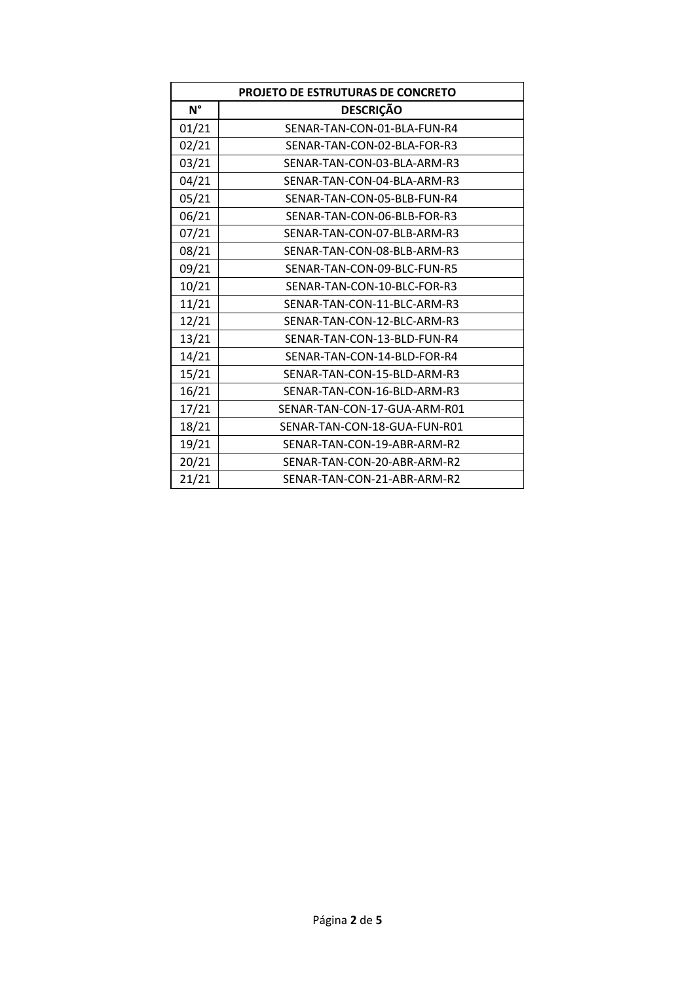| <b>PROJETO DE ESTRUTURAS DE CONCRETO</b> |                              |
|------------------------------------------|------------------------------|
| $N^{\circ}$                              | <b>DESCRIÇÃO</b>             |
| 01/21                                    | SENAR-TAN-CON-01-BLA-FUN-R4  |
| 02/21                                    | SENAR-TAN-CON-02-BLA-FOR-R3  |
| 03/21                                    | SENAR-TAN-CON-03-BLA-ARM-R3  |
| 04/21                                    | SENAR-TAN-CON-04-BLA-ARM-R3  |
| 05/21                                    | SENAR-TAN-CON-05-BLB-FUN-R4  |
| 06/21                                    | SENAR-TAN-CON-06-BLB-FOR-R3  |
| 07/21                                    | SENAR-TAN-CON-07-BLB-ARM-R3  |
| 08/21                                    | SENAR-TAN-CON-08-BLB-ARM-R3  |
| 09/21                                    | SENAR-TAN-CON-09-BLC-FUN-R5  |
| 10/21                                    | SENAR-TAN-CON-10-BLC-FOR-R3  |
| 11/21                                    | SENAR-TAN-CON-11-BLC-ARM-R3  |
| 12/21                                    | SENAR-TAN-CON-12-BLC-ARM-R3  |
| 13/21                                    | SENAR-TAN-CON-13-BLD-FUN-R4  |
| 14/21                                    | SENAR-TAN-CON-14-BLD-FOR-R4  |
| 15/21                                    | SENAR-TAN-CON-15-BLD-ARM-R3  |
| 16/21                                    | SENAR-TAN-CON-16-BLD-ARM-R3  |
| 17/21                                    | SENAR-TAN-CON-17-GUA-ARM-R01 |
| 18/21                                    | SENAR-TAN-CON-18-GUA-FUN-R01 |
| 19/21                                    | SENAR-TAN-CON-19-ABR-ARM-R2  |
| 20/21                                    | SENAR-TAN-CON-20-ABR-ARM-R2  |
| 21/21                                    | SENAR-TAN-CON-21-ABR-ARM-R2  |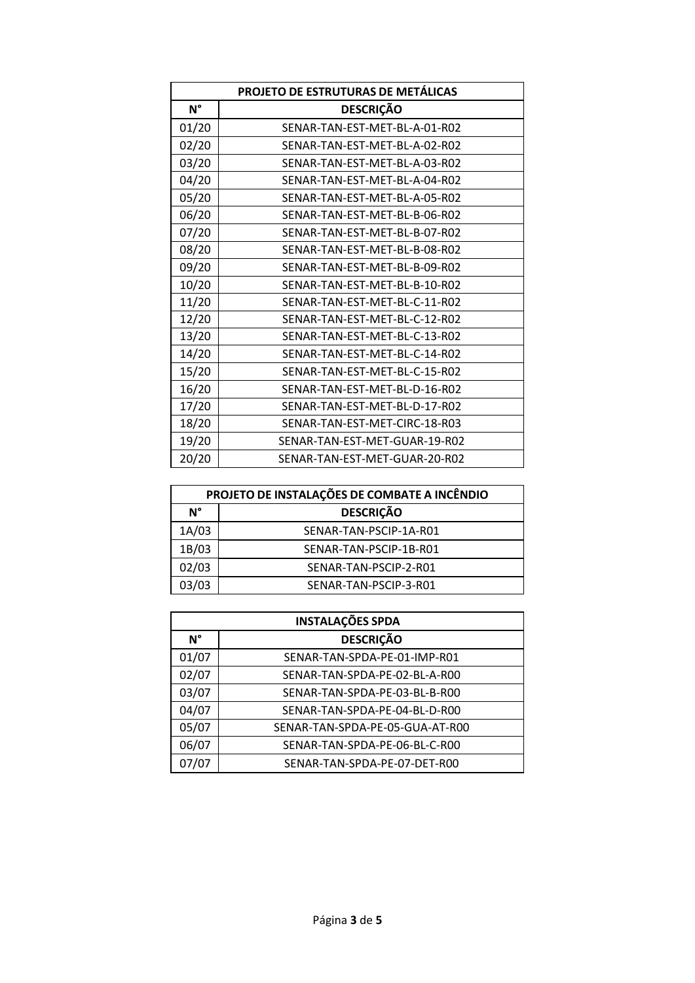| PROJETO DE ESTRUTURAS DE METÁLICAS |                               |
|------------------------------------|-------------------------------|
| $N^{\circ}$                        | <b>DESCRIÇÃO</b>              |
| 01/20                              | SENAR-TAN-EST-MET-BL-A-01-R02 |
| 02/20                              | SENAR-TAN-EST-MET-BL-A-02-R02 |
| 03/20                              | SENAR-TAN-EST-MET-BL-A-03-R02 |
| 04/20                              | SENAR-TAN-EST-MET-BL-A-04-R02 |
| 05/20                              | SENAR-TAN-EST-MET-BL-A-05-R02 |
| 06/20                              | SENAR-TAN-EST-MET-BL-B-06-R02 |
| 07/20                              | SENAR-TAN-EST-MET-BL-B-07-R02 |
| 08/20                              | SENAR-TAN-EST-MET-BL-B-08-R02 |
| 09/20                              | SENAR-TAN-EST-MET-BL-B-09-R02 |
| 10/20                              | SENAR-TAN-EST-MET-BL-B-10-R02 |
| 11/20                              | SENAR-TAN-EST-MET-BL-C-11-R02 |
| 12/20                              | SENAR-TAN-EST-MET-BL-C-12-R02 |
| 13/20                              | SENAR-TAN-EST-MET-BL-C-13-R02 |
| 14/20                              | SENAR-TAN-EST-MET-BL-C-14-R02 |
| 15/20                              | SENAR-TAN-EST-MET-BL-C-15-R02 |
| 16/20                              | SENAR-TAN-EST-MET-BL-D-16-R02 |
| 17/20                              | SENAR-TAN-EST-MET-BL-D-17-R02 |
| 18/20                              | SENAR-TAN-EST-MET-CIRC-18-R03 |
| 19/20                              | SENAR-TAN-EST-MET-GUAR-19-R02 |
| 20/20                              | SENAR-TAN-EST-MET-GUAR-20-R02 |

| PROJETO DE INSTALAÇÕES DE COMBATE A INCÊNDIO |                        |
|----------------------------------------------|------------------------|
| N°                                           | <b>DESCRIÇÃO</b>       |
| 1A/03                                        | SENAR-TAN-PSCIP-1A-R01 |
| 1B/03                                        | SENAR-TAN-PSCIP-1B-R01 |
| 02/03                                        | SENAR-TAN-PSCIP-2-R01  |
| 03/03                                        | SENAR-TAN-PSCIP-3-R01  |

| <b>INSTALAÇÕES SPDA</b> |                                 |
|-------------------------|---------------------------------|
| $N^{\circ}$             | <b>DESCRIÇÃO</b>                |
| 01/07                   | SENAR-TAN-SPDA-PE-01-IMP-R01    |
| 02/07                   | SENAR-TAN-SPDA-PE-02-BL-A-R00   |
| 03/07                   | SENAR-TAN-SPDA-PE-03-BL-B-R00   |
| 04/07                   | SENAR-TAN-SPDA-PE-04-BL-D-R00   |
| 05/07                   | SENAR-TAN-SPDA-PE-05-GUA-AT-R00 |
| 06/07                   | SENAR-TAN-SPDA-PE-06-BL-C-R00   |
| 07/07                   | SENAR-TAN-SPDA-PE-07-DET-R00    |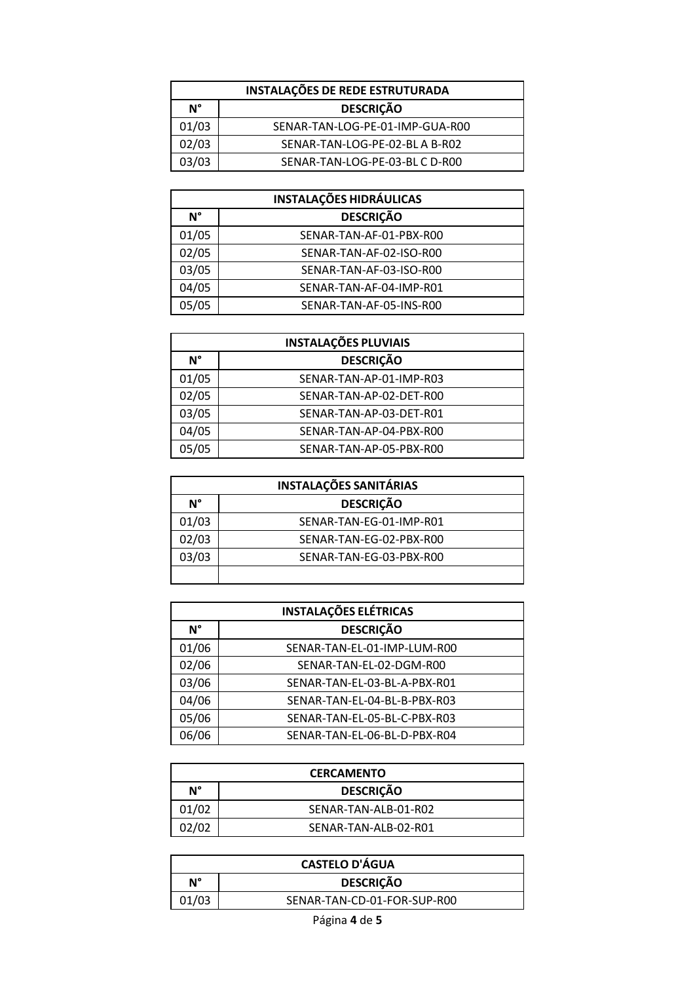| INSTALAÇÕES DE REDE ESTRUTURADA |                                 |
|---------------------------------|---------------------------------|
| N°                              | <b>DESCRIÇÃO</b>                |
| 01/03                           | SENAR-TAN-LOG-PE-01-IMP-GUA-R00 |
| 02/03                           | SENAR-TAN-LOG-PE-02-BLA B-R02   |
| 03/03                           | SENAR-TAN-LOG-PE-03-BL C D-R00  |

| <b>INSTALAÇÕES HIDRÁULICAS</b> |                         |
|--------------------------------|-------------------------|
| $N^{\circ}$                    | <b>DESCRIÇÃO</b>        |
| 01/05                          | SENAR-TAN-AF-01-PBX-R00 |
| 02/05                          | SENAR-TAN-AF-02-ISO-R00 |
| 03/05                          | SENAR-TAN-AF-03-ISO-R00 |
| 04/05                          | SENAR-TAN-AF-04-IMP-R01 |
| 05/05                          | SENAR-TAN-AF-05-INS-R00 |

|             | <b>INSTALAÇÕES PLUVIAIS</b> |  |
|-------------|-----------------------------|--|
| $N^{\circ}$ | <b>DESCRIÇÃO</b>            |  |
| 01/05       | SENAR-TAN-AP-01-IMP-R03     |  |
| 02/05       | SENAR-TAN-AP-02-DET-R00     |  |
| 03/05       | SENAR-TAN-AP-03-DET-R01     |  |
| 04/05       | SENAR-TAN-AP-04-PBX-R00     |  |
| 05/05       | SENAR-TAN-AP-05-PBX-R00     |  |

| <b>INSTALAÇÕES SANITÁRIAS</b> |                         |
|-------------------------------|-------------------------|
| N°                            | <b>DESCRIÇÃO</b>        |
| 01/03                         | SENAR-TAN-EG-01-IMP-R01 |
| 02/03                         | SENAR-TAN-EG-02-PBX-R00 |
| 03/03                         | SENAR-TAN-EG-03-PBX-R00 |
|                               |                         |

| <b>INSTALAÇÕES ELÉTRICAS</b> |                              |
|------------------------------|------------------------------|
| N°                           | <b>DESCRIÇÃO</b>             |
| 01/06                        | SENAR-TAN-EL-01-IMP-LUM-R00  |
| 02/06                        | SENAR-TAN-EL-02-DGM-R00      |
| 03/06                        | SENAR-TAN-EL-03-BL-A-PBX-R01 |
| 04/06                        | SENAR-TAN-EL-04-BL-B-PBX-R03 |
| 05/06                        | SENAR-TAN-EL-05-BL-C-PBX-R03 |
| 06/06                        | SENAR-TAN-EL-06-BL-D-PBX-R04 |

| <b>CERCAMENTO</b> |                      |
|-------------------|----------------------|
| N°                | <b>DESCRIÇÃO</b>     |
| 01/02             | SENAR-TAN-ALB-01-R02 |
| 02/02             | SENAR-TAN-ALB-02-R01 |

| <b>CASTELO D'ÁGUA</b> |                             |
|-----------------------|-----------------------------|
| N°                    | <b>DESCRIÇÃO</b>            |
| 01/03                 | SENAR-TAN-CD-01-FOR-SUP-R00 |